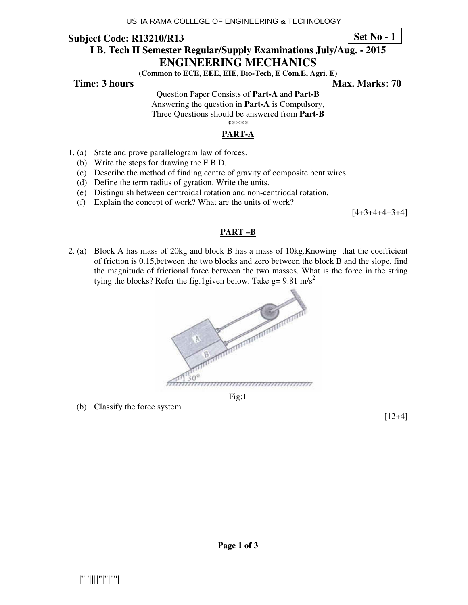**Set No - 1**

# **I B. Tech II Semester Regular/Supply Examinations July/Aug. - 2015 ENGINEERING MECHANICS**

**(Common to ECE, EEE, EIE, Bio-Tech, E Com.E, Agri. E)** 

**Time: 3 hours Max. Marks: 70 Max. Marks: 70** 

Question Paper Consists of **Part-A** and **Part-B** Answering the question in **Part-A** is Compulsory, Three Questions should be answered from **Part-B**

\*\*\*\*\*

# **PART-A**

- 1. (a) State and prove parallelogram law of forces.
	- (b) Write the steps for drawing the F.B.D.
	- (c) Describe the method of finding centre of gravity of composite bent wires.
	- (d) Define the term radius of gyration. Write the units.
	- (e) Distinguish between centroidal rotation and non-centriodal rotation.
	- (f) Explain the concept of work? What are the units of work?

 $[4+3+4+4+3+4]$ 

### **PART –B**

2. (a) Block A has mass of 20kg and block B has a mass of 10kg.Knowing that the coefficient of friction is 0.15,between the two blocks and zero between the block B and the slope, find the magnitude of frictional force between the two masses. What is the force in the string tying the blocks? Refer the fig.1given below. Take  $g = 9.81 \text{ m/s}^2$ 



Fig:1

(b) Classify the force system.

[12+4]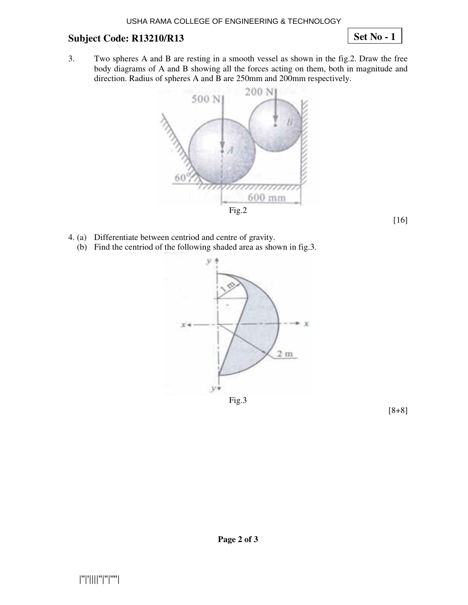**Set No - 1**

3. Two spheres A and B are resting in a smooth vessel as shown in the fig.2. Draw the free body diagrams of A and B showing all the forces acting on them, both in magnitude and direction. Radius of spheres A and B are 250mm and 200mm respectively.



- 4. (a) Differentiate between centriod and centre of gravity.
	- (b) Find the centriod of the following shaded area as shown in fig.3.



Fig.3



[16]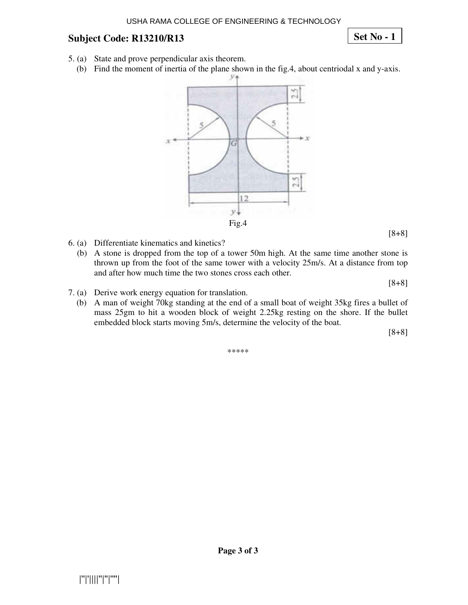**Set No - 1**

- 5. (a) State and prove perpendicular axis theorem.
	- (b) Find the moment of inertia of the plane shown in the fig.4, about centriodal x and y-axis.



- 6. (a) Differentiate kinematics and kinetics?
	- (b) A stone is dropped from the top of a tower 50m high. At the same time another stone is thrown up from the foot of the same tower with a velocity 25m/s. At a distance from top and after how much time the two stones cross each other.

[8+8]

[8+8]

- 7. (a) Derive work energy equation for translation.
	- (b) A man of weight 70kg standing at the end of a small boat of weight 35kg fires a bullet of mass 25gm to hit a wooden block of weight 2.25kg resting on the shore. If the bullet embedded block starts moving 5m/s, determine the velocity of the boat.

[8+8]

\*\*\*\*\*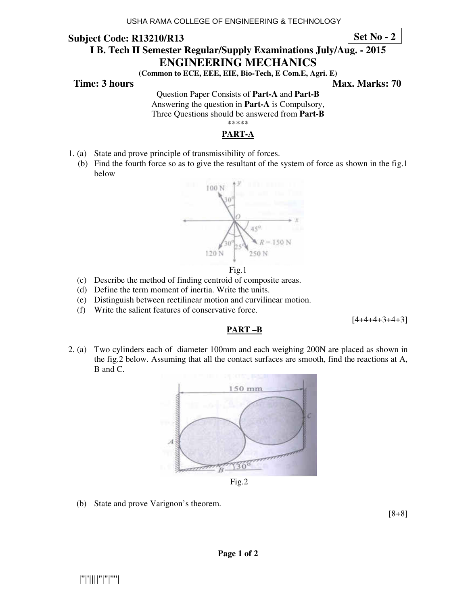**Set No - 2**

# **I B. Tech II Semester Regular/Supply Examinations July/Aug. - 2015 ENGINEERING MECHANICS**

**(Common to ECE, EEE, EIE, Bio-Tech, E Com.E, Agri. E)** 

**Time: 3 hours** Max. Marks: 70

Question Paper Consists of **Part-A** and **Part-B** Answering the question in **Part-A** is Compulsory, Three Questions should be answered from **Part-B**

\*\*\*\*\*

## **PART-A**

- 1. (a) State and prove principle of transmissibility of forces.
	- (b) Find the fourth force so as to give the resultant of the system of force as shown in the fig.1 below



Fig.1

- (c) Describe the method of finding centroid of composite areas.
- (d) Define the term moment of inertia. Write the units.
- (e) Distinguish between rectilinear motion and curvilinear motion.
- (f) Write the salient features of conservative force.

 $[4+4+4+3+4+3]$ 

## **PART –B**

2. (a) Two cylinders each of diameter 100mm and each weighing 200N are placed as shown in the fig.2 below. Assuming that all the contact surfaces are smooth, find the reactions at A, B and C.



Fig.2

(b) State and prove Varignon's theorem.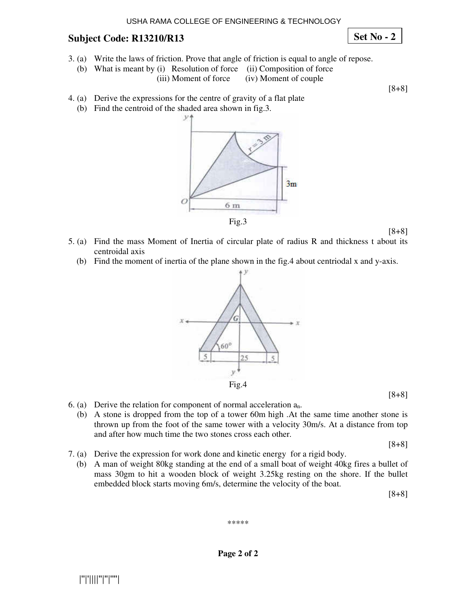**Set No - 2**

- 3. (a) Write the laws of friction. Prove that angle of friction is equal to angle of repose.
	- (b) What is meant by (i) Resolution of force (ii) Composition of force
		- (iii) Moment of force (iv) Moment of couple

[8+8]

- 4. (a) Derive the expressions for the centre of gravity of a flat plate
	- (b) Find the centroid of the shaded area shown in fig.3.



[8+8]

- 5. (a) Find the mass Moment of Inertia of circular plate of radius R and thickness t about its centroidal axis
	- (b) Find the moment of inertia of the plane shown in the fig.4 about centriodal x and y-axis.



[8+8]

- 6. (a) Derive the relation for component of normal acceleration  $a_n$ .
	- (b) A stone is dropped from the top of a tower 60m high .At the same time another stone is thrown up from the foot of the same tower with a velocity 30m/s. At a distance from top and after how much time the two stones cross each other.

[8+8]

- 7. (a) Derive the expression for work done and kinetic energy for a rigid body.
	- (b) A man of weight 80kg standing at the end of a small boat of weight 40kg fires a bullet of mass 30gm to hit a wooden block of weight 3.25kg resting on the shore. If the bullet embedded block starts moving 6m/s, determine the velocity of the boat.

[8+8]

\*\*\*\*\*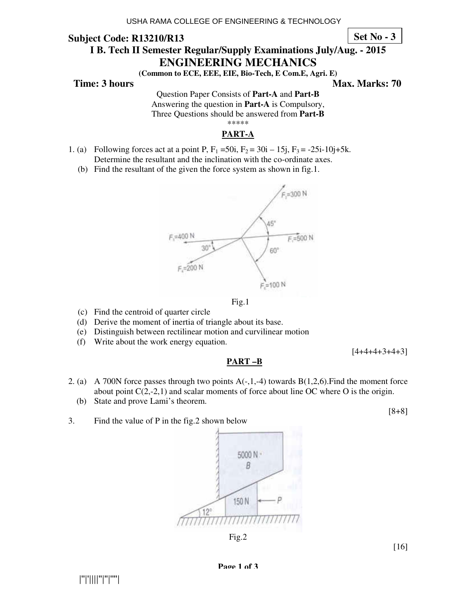**Set No - 3**

# **I B. Tech II Semester Regular/Supply Examinations July/Aug. - 2015 ENGINEERING MECHANICS**

**(Common to ECE, EEE, EIE, Bio-Tech, E Com.E, Agri. E)** 

**Time: 3 hours** Max. Marks: 70

Question Paper Consists of **Part-A** and **Part-B** Answering the question in **Part-A** is Compulsory, Three Questions should be answered from **Part-B**

\*\*\*\*\*

## **PART-A**

- 1. (a) Following forces act at a point P,  $F_1 = 50i$ ,  $F_2 = 30i 15j$ ,  $F_3 = -25i-10j+5k$ . Determine the resultant and the inclination with the co-ordinate axes.
	- (b) Find the resultant of the given the force system as shown in fig.1.





- (c) Find the centroid of quarter circle
- (d) Derive the moment of inertia of triangle about its base.
- (e) Distinguish between rectilinear motion and curvilinear motion
- (f) Write about the work energy equation.

[4+4+4+3+4+3]

### **PART –B**

- 2. (a) A 700N force passes through two points  $A(-,1,-4)$  towards  $B(1,2,6)$ . Find the moment force about point  $C(2,-2,1)$  and scalar moments of force about line OC where O is the origin.
	- (b) State and prove Lami's theorem.

3. Find the value of P in the fig.2 shown below

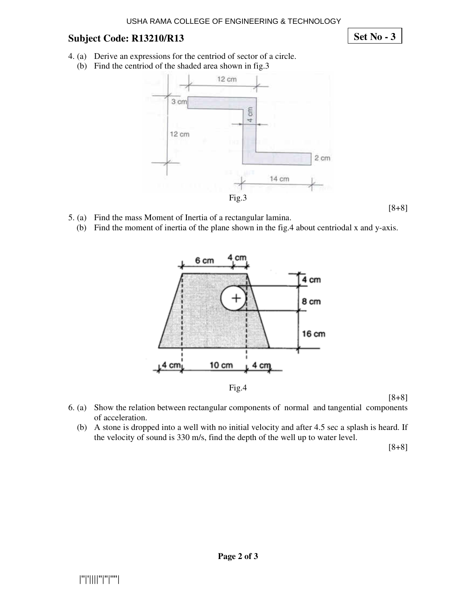**Set No - 3**

- 4. (a) Derive an expressions for the centriod of sector of a circle.
	- (b) Find the centriod of the shaded area shown in fig.3



- 5. (a) Find the mass Moment of Inertia of a rectangular lamina.
	- (b) Find the moment of inertia of the plane shown in the fig.4 about centriodal x and y-axis.



[8+8]

[8+8]

- 6. (a) Show the relation between rectangular components of normal and tangential components of acceleration.
	- (b) A stone is dropped into a well with no initial velocity and after 4.5 sec a splash is heard. If the velocity of sound is 330 m/s, find the depth of the well up to water level.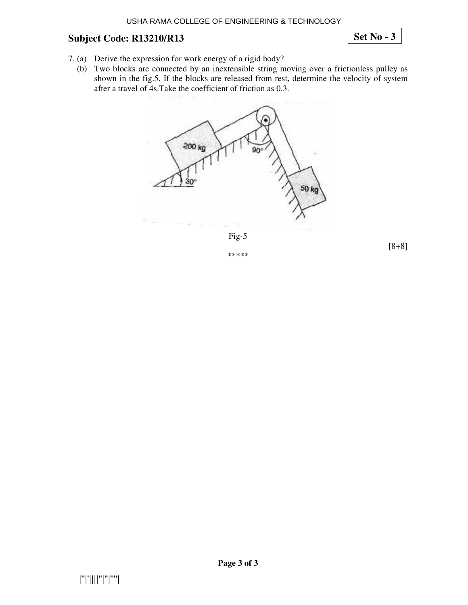**Set No - 3**

- 7. (a) Derive the expression for work energy of a rigid body?
	- (b) Two blocks are connected by an inextensible string moving over a frictionless pulley as shown in the fig.5. If the blocks are released from rest, determine the velocity of system after a travel of 4s.Take the coefficient of friction as 0.3.





\*\*\*\*\*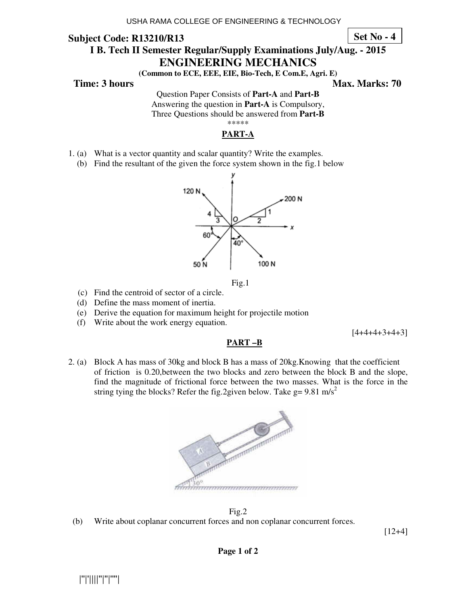### **Subject Code: R13210/R13 I B. Tech II Semester Regular/Supply Examinations July/Aug. - 2015 ENGINEERING MECHANICS Set No - 4**

**(Common to ECE, EEE, EIE, Bio-Tech, E Com.E, Agri. E)** 

**Time: 3 hours Max. Marks: 70 Max. Marks: 70** 

Question Paper Consists of **Part-A** and **Part-B** Answering the question in **Part-A** is Compulsory, Three Questions should be answered from **Part-B**

\*\*\*\*\*

### **PART-A**

- 1. (a) What is a vector quantity and scalar quantity? Write the examples.
	- (b) Find the resultant of the given the force system shown in the fig.1 below





- (c) Find the centroid of sector of a circle.
- (d) Define the mass moment of inertia.
- (e) Derive the equation for maximum height for projectile motion
- (f) Write about the work energy equation.

 $[4+4+4+3+4+3]$ 

### **PART –B**

2. (a) Block A has mass of 30kg and block B has a mass of 20kg.Knowing that the coefficient of friction is 0.20,between the two blocks and zero between the block B and the slope, find the magnitude of frictional force between the two masses. What is the force in the string tying the blocks? Refer the fig.2given below. Take  $g = 9.81$  m/s<sup>2</sup>



Fig.2

(b) Write about coplanar concurrent forces and non coplanar concurrent forces.

[12+4]

**Page 1 of 2** 

|''|'||||''|''|''''|